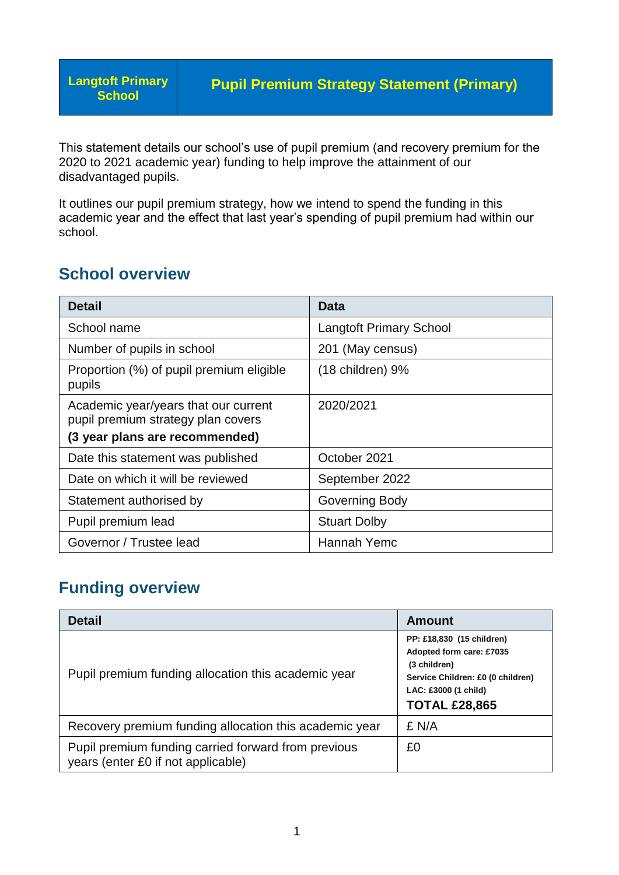**Langtoft Primary School**

This statement details our school's use of pupil premium (and recovery premium for the 2020 to 2021 academic year) funding to help improve the attainment of our disadvantaged pupils.

It outlines our pupil premium strategy, how we intend to spend the funding in this academic year and the effect that last year's spending of pupil premium had within our school.

### **School overview**

| Detail                                                                     | Data                           |
|----------------------------------------------------------------------------|--------------------------------|
| School name                                                                | <b>Langtoft Primary School</b> |
| Number of pupils in school                                                 | 201 (May census)               |
| Proportion (%) of pupil premium eligible<br>pupils                         | (18 children) 9%               |
| Academic year/years that our current<br>pupil premium strategy plan covers | 2020/2021                      |
| (3 year plans are recommended)                                             |                                |
| Date this statement was published                                          | October 2021                   |
| Date on which it will be reviewed                                          | September 2022                 |
| Statement authorised by                                                    | Governing Body                 |
| Pupil premium lead                                                         | <b>Stuart Dolby</b>            |
| Governor / Trustee lead                                                    | Hannah Yemc                    |

### **Funding overview**

| <b>Detail</b>                                                                             | Amount                                                                                                                                                     |
|-------------------------------------------------------------------------------------------|------------------------------------------------------------------------------------------------------------------------------------------------------------|
| Pupil premium funding allocation this academic year                                       | PP: £18,830 (15 children)<br>Adopted form care: £7035<br>(3 children)<br>Service Children: £0 (0 children)<br>LAC: £3000 (1 child)<br><b>TOTAL £28,865</b> |
| Recovery premium funding allocation this academic year                                    | £ N/A                                                                                                                                                      |
| Pupil premium funding carried forward from previous<br>years (enter £0 if not applicable) | £0                                                                                                                                                         |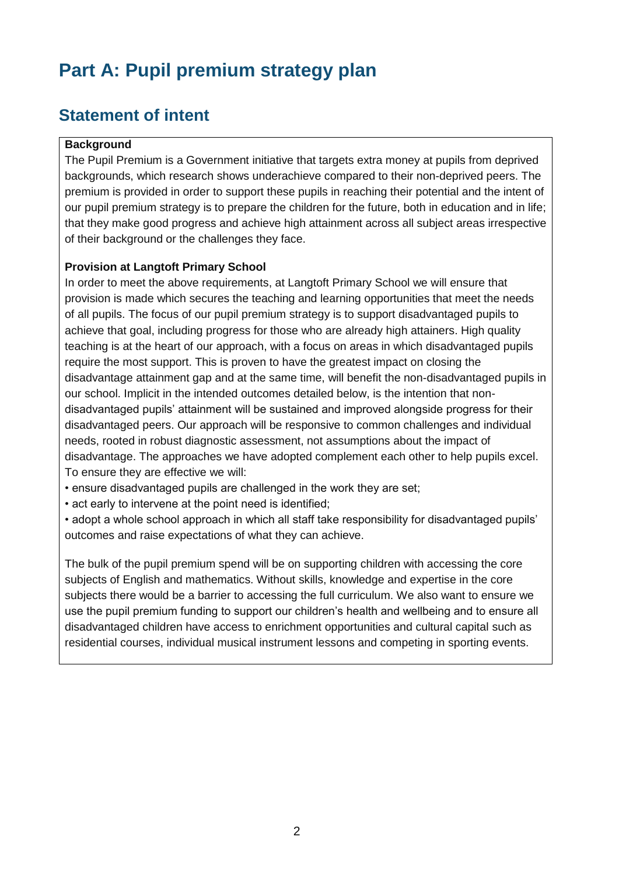# **Part A: Pupil premium strategy plan**

# **Statement of intent**

#### **Background**

The Pupil Premium is a Government initiative that targets extra money at pupils from deprived backgrounds, which research shows underachieve compared to their non-deprived peers. The premium is provided in order to support these pupils in reaching their potential and the intent of our pupil premium strategy is to prepare the children for the future, both in education and in life; that they make good progress and achieve high attainment across all subject areas irrespective of their background or the challenges they face.

#### **Provision at Langtoft Primary School**

In order to meet the above requirements, at Langtoft Primary School we will ensure that provision is made which secures the teaching and learning opportunities that meet the needs of all pupils. The focus of our pupil premium strategy is to support disadvantaged pupils to achieve that goal, including progress for those who are already high attainers. High quality teaching is at the heart of our approach, with a focus on areas in which disadvantaged pupils require the most support. This is proven to have the greatest impact on closing the disadvantage attainment gap and at the same time, will benefit the non-disadvantaged pupils in our school. Implicit in the intended outcomes detailed below, is the intention that nondisadvantaged pupils' attainment will be sustained and improved alongside progress for their disadvantaged peers. Our approach will be responsive to common challenges and individual needs, rooted in robust diagnostic assessment, not assumptions about the impact of disadvantage. The approaches we have adopted complement each other to help pupils excel. To ensure they are effective we will:

- ensure disadvantaged pupils are challenged in the work they are set;
- act early to intervene at the point need is identified;

• adopt a whole school approach in which all staff take responsibility for disadvantaged pupils' outcomes and raise expectations of what they can achieve.

The bulk of the pupil premium spend will be on supporting children with accessing the core subjects of English and mathematics. Without skills, knowledge and expertise in the core subjects there would be a barrier to accessing the full curriculum. We also want to ensure we use the pupil premium funding to support our children's health and wellbeing and to ensure all disadvantaged children have access to enrichment opportunities and cultural capital such as residential courses, individual musical instrument lessons and competing in sporting events.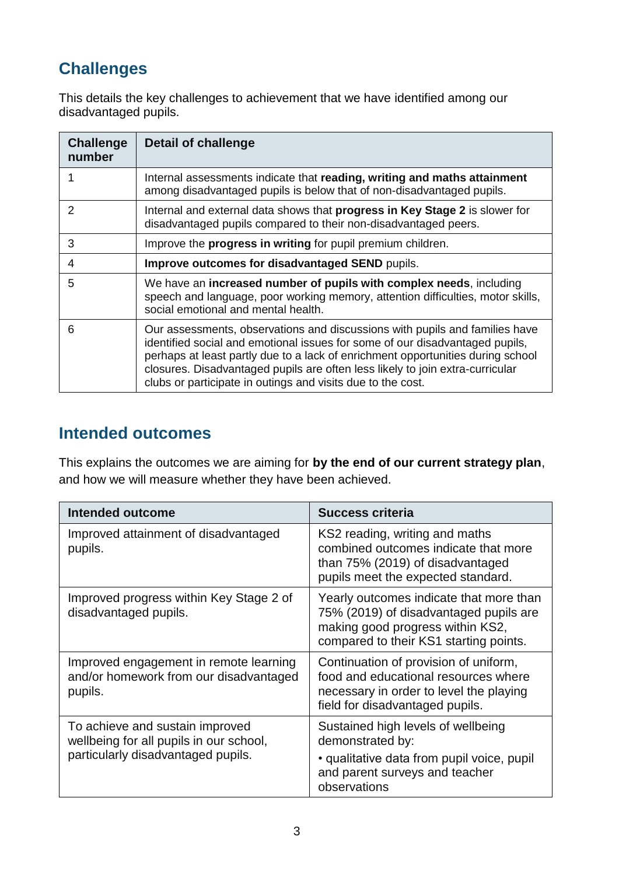# **Challenges**

This details the key challenges to achievement that we have identified among our disadvantaged pupils.

| <b>Challenge</b><br>number | <b>Detail of challenge</b>                                                                                                                                                                                                                                                                                                                                                                     |
|----------------------------|------------------------------------------------------------------------------------------------------------------------------------------------------------------------------------------------------------------------------------------------------------------------------------------------------------------------------------------------------------------------------------------------|
| 1                          | Internal assessments indicate that reading, writing and maths attainment<br>among disadvantaged pupils is below that of non-disadvantaged pupils.                                                                                                                                                                                                                                              |
| 2                          | Internal and external data shows that progress in Key Stage 2 is slower for<br>disadvantaged pupils compared to their non-disadvantaged peers.                                                                                                                                                                                                                                                 |
| 3                          | Improve the <b>progress in writing</b> for pupil premium children.                                                                                                                                                                                                                                                                                                                             |
| 4                          | Improve outcomes for disadvantaged SEND pupils.                                                                                                                                                                                                                                                                                                                                                |
| 5                          | We have an increased number of pupils with complex needs, including<br>speech and language, poor working memory, attention difficulties, motor skills,<br>social emotional and mental health.                                                                                                                                                                                                  |
| 6                          | Our assessments, observations and discussions with pupils and families have<br>identified social and emotional issues for some of our disadvantaged pupils,<br>perhaps at least partly due to a lack of enrichment opportunities during school<br>closures. Disadvantaged pupils are often less likely to join extra-curricular<br>clubs or participate in outings and visits due to the cost. |

#### **Intended outcomes**

This explains the outcomes we are aiming for **by the end of our current strategy plan**, and how we will measure whether they have been achieved.

| <b>Intended outcome</b>                                                                                          | <b>Success criteria</b>                                                                                                                                         |
|------------------------------------------------------------------------------------------------------------------|-----------------------------------------------------------------------------------------------------------------------------------------------------------------|
| Improved attainment of disadvantaged<br>pupils.                                                                  | KS2 reading, writing and maths<br>combined outcomes indicate that more<br>than 75% (2019) of disadvantaged<br>pupils meet the expected standard.                |
| Improved progress within Key Stage 2 of<br>disadvantaged pupils.                                                 | Yearly outcomes indicate that more than<br>75% (2019) of disadvantaged pupils are<br>making good progress within KS2,<br>compared to their KS1 starting points. |
| Improved engagement in remote learning<br>and/or homework from our disadvantaged<br>pupils.                      | Continuation of provision of uniform,<br>food and educational resources where<br>necessary in order to level the playing<br>field for disadvantaged pupils.     |
| To achieve and sustain improved<br>wellbeing for all pupils in our school,<br>particularly disadvantaged pupils. | Sustained high levels of wellbeing<br>demonstrated by:<br>• qualitative data from pupil voice, pupil<br>and parent surveys and teacher<br>observations          |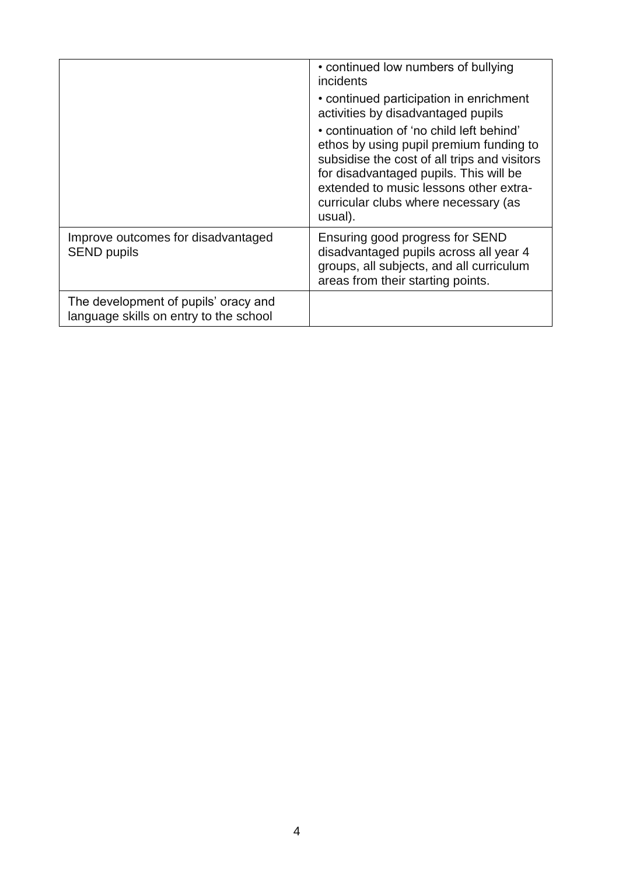|                                                                                | • continued low numbers of bullying<br>incidents<br>• continued participation in enrichment<br>activities by disadvantaged pupils<br>• continuation of 'no child left behind'<br>ethos by using pupil premium funding to<br>subsidise the cost of all trips and visitors<br>for disadvantaged pupils. This will be<br>extended to music lessons other extra-<br>curricular clubs where necessary (as |
|--------------------------------------------------------------------------------|------------------------------------------------------------------------------------------------------------------------------------------------------------------------------------------------------------------------------------------------------------------------------------------------------------------------------------------------------------------------------------------------------|
| Improve outcomes for disadvantaged<br><b>SEND pupils</b>                       | usual).<br>Ensuring good progress for SEND<br>disadvantaged pupils across all year 4<br>groups, all subjects, and all curriculum<br>areas from their starting points.                                                                                                                                                                                                                                |
| The development of pupils' oracy and<br>language skills on entry to the school |                                                                                                                                                                                                                                                                                                                                                                                                      |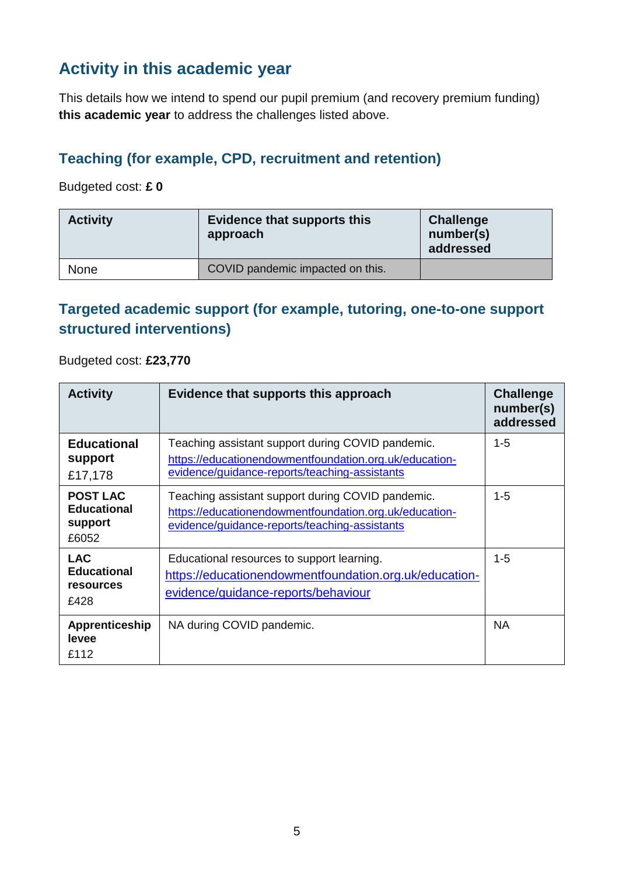# **Activity in this academic year**

This details how we intend to spend our pupil premium (and recovery premium funding) **this academic year** to address the challenges listed above.

#### **Teaching (for example, CPD, recruitment and retention)**

Budgeted cost: **£ 0**

| <b>Activity</b> | Evidence that supports this<br>approach | Challenge<br>number(s)<br>addressed |
|-----------------|-----------------------------------------|-------------------------------------|
| <b>None</b>     | COVID pandemic impacted on this.        |                                     |

#### **Targeted academic support (for example, tutoring, one-to-one support structured interventions)**

Budgeted cost: **£23,770**

| <b>Activity</b>                                              | Evidence that supports this approach                                                                                                                         | <b>Challenge</b><br>number(s)<br>addressed |
|--------------------------------------------------------------|--------------------------------------------------------------------------------------------------------------------------------------------------------------|--------------------------------------------|
| <b>Educational</b><br>support<br>£17,178                     | Teaching assistant support during COVID pandemic.<br>https://educationendowmentfoundation.org.uk/education-<br>evidence/guidance-reports/teaching-assistants | $1 - 5$                                    |
| <b>POST LAC</b><br><b>Educational</b><br>support<br>£6052    | Teaching assistant support during COVID pandemic.<br>https://educationendowmentfoundation.org.uk/education-<br>evidence/guidance-reports/teaching-assistants | $1 - 5$                                    |
| <b>LAC</b><br><b>Educational</b><br><b>resources</b><br>£428 | Educational resources to support learning.<br>https://educationendowmentfoundation.org.uk/education-<br>evidence/guidance-reports/behaviour                  | $1 - 5$                                    |
| Apprenticeship<br>levee<br>£112                              | NA during COVID pandemic.                                                                                                                                    | <b>NA</b>                                  |